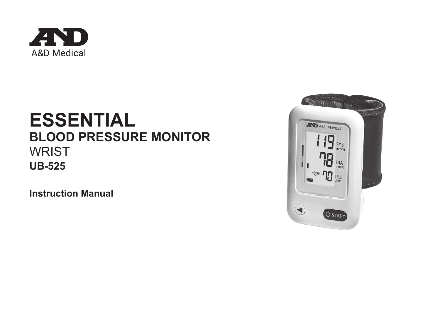

# **ESSENTIAL BLOOD PRESSURE MONITOR WRIST UB-525**

**Instruction Manual**

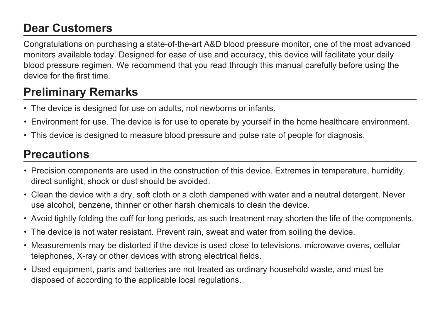# **Dear Customers**

Congratulations on purchasing a state-of-the-art A&D blood pressure monitor, one of the most advanced monitors available today. Designed for ease of use and accuracy, this device will facilitate your daily blood pressure regimen. We recommend that you read through this manual carefully before using the device for the first time.

# **Preliminary Remarks**

- The device is designed for use on adults, not newborns or infants.
- Environment for use. The device is for use to operate by yourself in the home healthcare environment.
- This device is designed to measure blood pressure and pulse rate of people for diagnosis.

### **Precautions**

- Precision components are used in the construction of this device. Extremes in temperature, humidity, direct sunlight, shock or dust should be avoided.
- Clean the device with a dry, soft cloth or a cloth dampened with water and a neutral detergent. Never use alcohol, benzene, thinner or other harsh chemicals to clean the device.
- Avoid tightly folding the cuff for long periods, as such treatment may shorten the life of the components.
- The device is not water resistant. Prevent rain, sweat and water from soiling the device.
- Measurements may be distorted if the device is used close to televisions, microwave ovens, cellular telephones, X-ray or other devices with strong electrical fields.
- Used equipment, parts and batteries are not treated as ordinary household waste, and must be disposed of according to the applicable local regulations.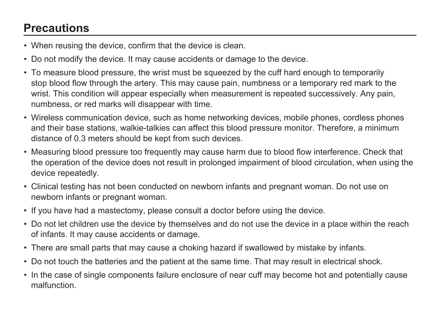# **Precautions**

- When reusing the device, confirm that the device is clean.
- Do not modify the device. It may cause accidents or damage to the device.
- To measure blood pressure, the wrist must be squeezed by the cuff hard enough to temporarily stop blood flow through the artery. This may cause pain, numbness or a temporary red mark to the wrist. This condition will appear especially when measurement is repeated successively. Any pain, numbness, or red marks will disappear with time.
- Wireless communication device, such as home networking devices, mobile phones, cordless phones and their base stations, walkie-talkies can affect this blood pressure monitor. Therefore, a minimum distance of 0.3 meters should be kept from such devices.
- Measuring blood pressure too frequently may cause harm due to blood flow interference. Check that the operation of the device does not result in prolonged impairment of blood circulation, when using the device repeatedly.
- Clinical testing has not been conducted on newborn infants and pregnant woman. Do not use on newborn infants or pregnant woman.
- If you have had a mastectomy, please consult a doctor before using the device.
- Do not let children use the device by themselves and do not use the device in a place within the reach of infants. It may cause accidents or damage.
- There are small parts that may cause a choking hazard if swallowed by mistake by infants.
- Do not touch the batteries and the patient at the same time. That may result in electrical shock.
- In the case of single components failure enclosure of near cuff may become hot and potentially cause malfunction.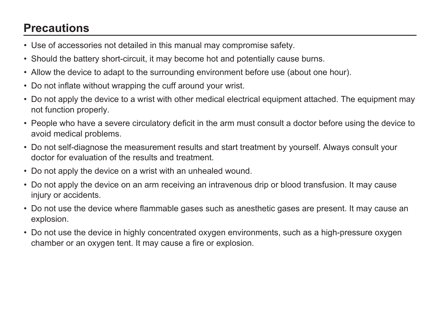# **Precautions**

- Use of accessories not detailed in this manual may compromise safety.
- Should the battery short-circuit, it may become hot and potentially cause burns.
- Allow the device to adapt to the surrounding environment before use (about one hour).
- Do not inflate without wrapping the cuff around your wrist.
- Do not apply the device to a wrist with other medical electrical equipment attached. The equipment may not function properly.
- People who have a severe circulatory deficit in the arm must consult a doctor before using the device to avoid medical problems.
- Do not self-diagnose the measurement results and start treatment by yourself. Always consult your doctor for evaluation of the results and treatment.
- Do not apply the device on a wrist with an unhealed wound.
- Do not apply the device on an arm receiving an intravenous drip or blood transfusion. It may cause injury or accidents.
- Do not use the device where flammable gases such as anesthetic gases are present. It may cause an explosion.
- Do not use the device in highly concentrated oxygen environments, such as a high-pressure oxygen chamber or an oxygen tent. It may cause a fire or explosion.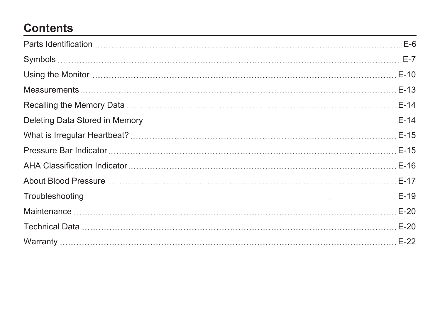# **Contents**

|                                  | $F-14$ |
|----------------------------------|--------|
|                                  | $F-14$ |
|                                  |        |
|                                  |        |
|                                  | $E-16$ |
| About Blood Pressure <b>E-17</b> |        |
|                                  |        |
|                                  | $E-20$ |
|                                  |        |
|                                  |        |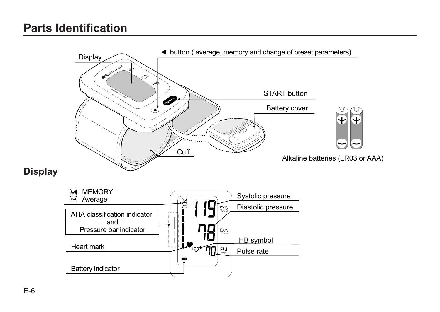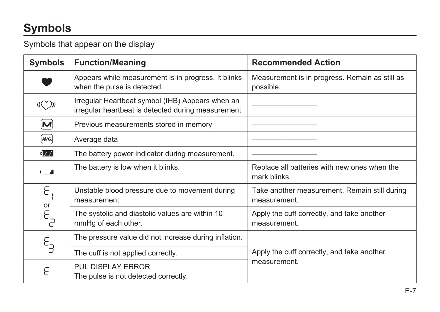# **Symbols**

Symbols that appear on the display

| <b>Symbols</b>           | <b>Function/Meaning</b>                                                                                | <b>Recommended Action</b>                                     |  |
|--------------------------|--------------------------------------------------------------------------------------------------------|---------------------------------------------------------------|--|
|                          | Appears while measurement is in progress. It blinks<br>when the pulse is detected.                     | Measurement is in progress. Remain as still as<br>possible.   |  |
|                          | Irregular Heartbeat symbol (IHB) Appears when an<br>irregular heartbeat is detected during measurement |                                                               |  |
| M                        | Previous measurements stored in memory                                                                 |                                                               |  |
| AVG.                     | Average data                                                                                           |                                                               |  |
| $\blacksquare$           | The battery power indicator during measurement.                                                        |                                                               |  |
| d A                      | The battery is low when it blinks.                                                                     | Replace all batteries with new ones when the<br>mark blinks.  |  |
| Ε                        | Unstable blood pressure due to movement during<br>measurement                                          | Take another measurement. Remain still during<br>measurement. |  |
| or<br>$E_{\overline{d}}$ | The systolic and diastolic values are within 10<br>mmHg of each other.                                 | Apply the cuff correctly, and take another<br>measurement.    |  |
| ε,                       | The pressure value did not increase during inflation.                                                  |                                                               |  |
|                          | The cuff is not applied correctly.                                                                     | Apply the cuff correctly, and take another                    |  |
| Е                        | PUL DISPLAY ERROR<br>The pulse is not detected correctly.                                              | measurement.                                                  |  |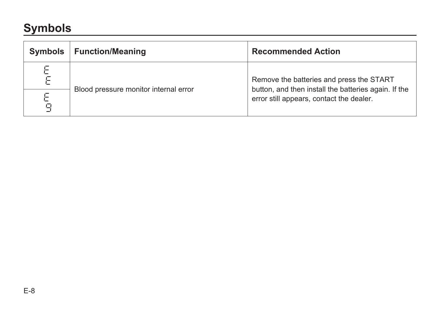# **Symbols**

| Symbols     | Function/Meaning                      | <b>Recommended Action</b>                                                                                                                    |
|-------------|---------------------------------------|----------------------------------------------------------------------------------------------------------------------------------------------|
| Ε<br>F<br>Q | Blood pressure monitor internal error | Remove the batteries and press the START<br>button, and then install the batteries again. If the<br>error still appears, contact the dealer. |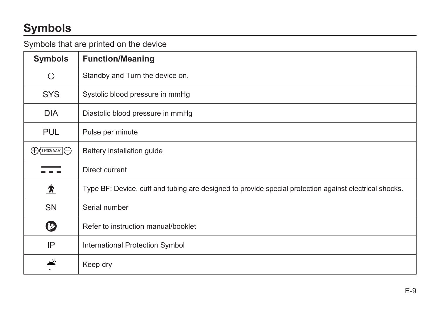# **Symbols**

#### Symbols that are printed on the device

| <b>Symbols</b>                     | <b>Function/Meaning</b>                                                                                |
|------------------------------------|--------------------------------------------------------------------------------------------------------|
| ტ                                  | Standby and Turn the device on.                                                                        |
| <b>SYS</b>                         | Systolic blood pressure in mmHg                                                                        |
| <b>DIA</b>                         | Diastolic blood pressure in mmHg                                                                       |
| <b>PUL</b>                         | Pulse per minute                                                                                       |
| $\bigoplus$ CLR03(AAA) $\bigoplus$ | Battery installation guide                                                                             |
|                                    | Direct current                                                                                         |
| $\hat{\bm{\pi}}$                   | Type BF: Device, cuff and tubing are designed to provide special protection against electrical shocks. |
| <b>SN</b>                          | Serial number                                                                                          |
| ℗                                  | Refer to instruction manual/booklet                                                                    |
| IP                                 | International Protection Symbol                                                                        |
|                                    | Keep dry                                                                                               |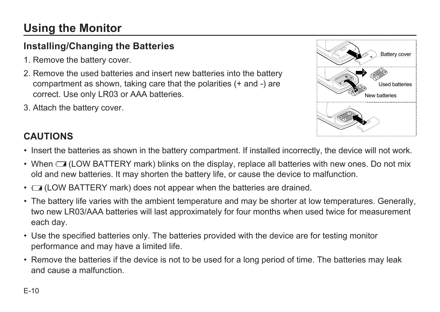# **Using the Monitor**

### **Installing/Changing the Batteries**

- 1. Remove the battery cover.
- 2. Remove the used batteries and insert new batteries into the battery compartment as shown, taking care that the polarities (+ and -) are correct. Use only LR03 or AAA batteries.
- 3. Attach the battery cover.



### **CAUTIONS**

- Insert the batteries as shown in the battery compartment. If installed incorrectly, the device will not work.
- When  $\Box$  (LOW BATTERY mark) blinks on the display, replace all batteries with new ones. Do not mix old and new batteries. It may shorten the battery life, or cause the device to malfunction.
- **I** (LOW BATTERY mark) does not appear when the batteries are drained.
- The battery life varies with the ambient temperature and may be shorter at low temperatures. Generally, two new LR03/AAA batteries will last approximately for four months when used twice for measurement each day.
- Use the specified batteries only. The batteries provided with the device are for testing monitor performance and may have a limited life.
- Remove the batteries if the device is not to be used for a long period of time. The batteries may leak and cause a malfunction.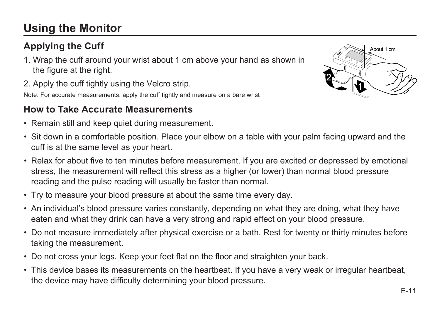# **Using the Monitor**

### **Applying the Cuff**

- 1. Wrap the cuff around your wrist about 1 cm above your hand as shown in the figure at the right.
- 2. Apply the cuff tightly using the Velcro strip.

Note: For accurate measurements, apply the cuff tightly and measure on a bare wrist

### **How to Take Accurate Measurements**

- Remain still and keep quiet during measurement.
- Sit down in a comfortable position. Place your elbow on a table with your palm facing upward and the cuff is at the same level as your heart.
- Relax for about five to ten minutes before measurement. If you are excited or depressed by emotional stress, the measurement will reflect this stress as a higher (or lower) than normal blood pressure reading and the pulse reading will usually be faster than normal.
- Try to measure your blood pressure at about the same time every day.
- An individual's blood pressure varies constantly, depending on what they are doing, what they have eaten and what they drink can have a very strong and rapid effect on your blood pressure.
- Do not measure immediately after physical exercise or a bath. Rest for twenty or thirty minutes before taking the measurement.
- Do not cross your legs. Keep your feet flat on the floor and straighten your back.
- This device bases its measurements on the heartbeat. If you have a very weak or irregular heartbeat, the device may have difficulty determining your blood pressure.

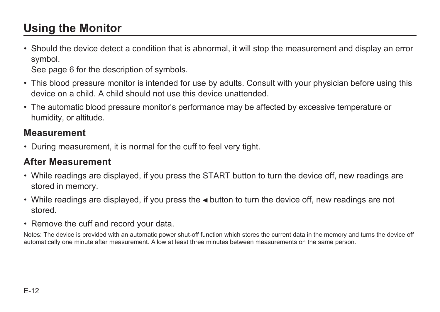# **Using the Monitor**

• Should the device detect a condition that is abnormal, it will stop the measurement and display an error symbol.

See page 6 for the description of symbols.

- This blood pressure monitor is intended for use by adults. Consult with your physician before using this device on a child. A child should not use this device unattended.
- The automatic blood pressure monitor's performance may be affected by excessive temperature or humidity, or altitude.

#### **Measurement**

• During measurement it is normal for the cuff to feel very tight.

### **After Measurement**

- While readings are displayed, if you press the START button to turn the device off, new readings are stored in memory.
- While readings are displayed, if you press the  $\triangleleft$  button to turn the device off, new readings are not stored.
- Remove the cuff and record your data

Notes: The device is provided with an automatic power shut-off function which stores the current data in the memory and turns the device off automatically one minute after measurement. Allow at least three minutes between measurements on the same person.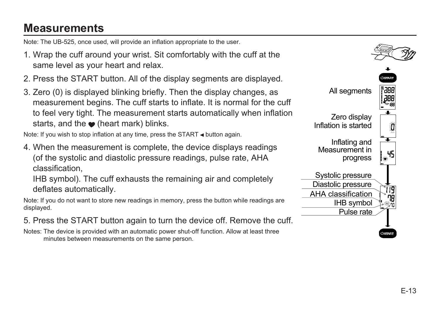## **Measurements**

Note: The UB-525, once used, will provide an inflation appropriate to the user.

- 1. Wrap the cuff around your wrist. Sit comfortably with the cuff at the same level as your heart and relax.
- 2. Press the START button. All of the display segments are displayed.
- 3. Zero (0) is displayed blinking briefly. Then the display changes, as measurement begins. The cuff starts to inflate. It is normal for the cuff to feel very tight. The measurement starts automatically when inflation starts, and the  $\bullet$  (heart mark) blinks.

Note: If you wish to stop inflation at any time, press the START  $\triangleleft$  button again.

4. When the measurement is complete, the device displays readings (of the systolic and diastolic pressure readings, pulse rate, AHA classification,

IHB symbol). The cuff exhausts the remaining air and completely deflates automatically.

Note: If you do not want to store new readings in memory, press the button while readings are displayed.

5. Press the START button again to turn the device off. Remove the cuff.

Notes: The device is provided with an automatic power shut-off function. Allow at least three minutes between measurements on the same person.

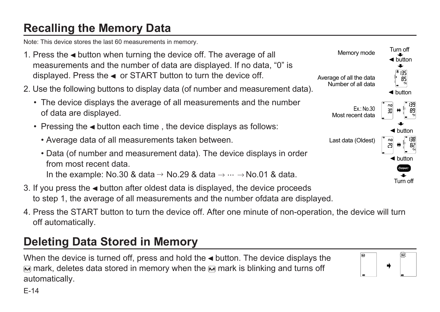# **Recalling the Memory Data**

Note: This device stores the last 60 measurements in memory.

- 1. Press the  $\triangleleft$  button when turning the device off. The average of all measurements and the number of data are displayed. If no data, "0" is displayed. Press the  $\triangleleft$  or START button to turn the device off.
- 2. Use the following buttons to display data (of number and measurement data).
	- The device displays the average of all measurements and the number of data are displayed.
	- Pressing the  $\triangleleft$  button each time, the device displays as follows:
		- Average data of all measurements taken between.



- 3. If you press the  $\triangleleft$  button after oldest data is displayed, the device proceeds to step 1, the average of all measurements and the number ofdata are displayed.
- 4. Press the START button to turn the device off. After one minute of non-operation, the device will turn off automatically.

# **Deleting Data Stored in Memory**

When the device is turned off, press and hold the  $\triangleleft$  button. The device displays the  $\overline{M}$  mark, deletes data stored in memory when the  $\overline{M}$  mark is blinking and turns off automatically.



E-14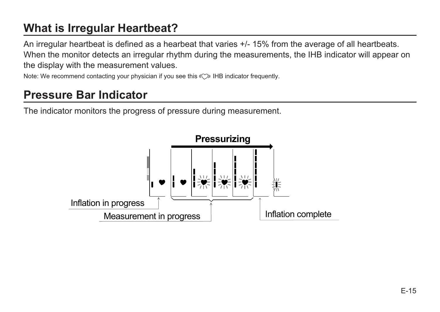# **What is Irregular Heartbeat?**

An irregular heartbeat is defined as a hearbeat that varies +/- 15% from the average of all heartbeats. When the monitor detects an irregular rhythm during the measurements, the IHB indicator will appear on the display with the measurement values.

Note: We recommend contacting your physician if you see this  $\langle \heartsuit \rangle$  IHB indicator frequently.

### **Pressure Bar Indicator**

The indicator monitors the progress of pressure during measurement.

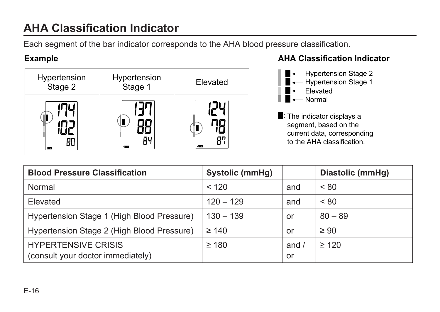# **AHA Classification Indicator**

Each segment of the bar indicator corresponds to the AHA blood pressure classification.



#### **Example AHA Classification Indicator**



| <b>Blood Pressure Classification</b>                            | Systolic (mmHg) |                    | Diastolic (mmHg) |
|-----------------------------------------------------------------|-----------------|--------------------|------------------|
| Normal                                                          | < 120           | and                | < 80             |
| Elevated                                                        | $120 - 129$     | and                | < 80             |
| Hypertension Stage 1 (High Blood Pressure)                      | $130 - 139$     | or                 | $80 - 89$        |
| Hypertension Stage 2 (High Blood Pressure)                      | $\geq 140$      | or                 | $\geq 90$        |
| <b>HYPERTENSIVE CRISIS</b><br>(consult your doctor immediately) | $\geq 180$      | and $\prime$<br>or | $\geq 120$       |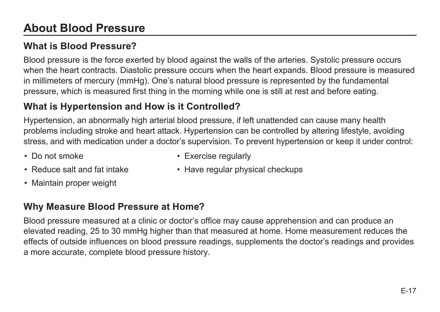# **About Blood Pressure**

### **What is Blood Pressure?**

Blood pressure is the force exerted by blood against the walls of the arteries. Systolic pressure occurs when the heart contracts. Diastolic pressure occurs when the heart expands. Blood pressure is measured in millimeters of mercury (mmHg). One's natural blood pressure is represented by the fundamental pressure, which is measured first thing in the morning while one is still at rest and before eating.

### **What is Hypertension and How is it Controlled?**

Hypertension, an abnormally high arterial blood pressure, if left unattended can cause many health problems including stroke and heart attack. Hypertension can be controlled by altering lifestyle, avoiding stress, and with medication under a doctor's supervision. To prevent hypertension or keep it under control:

• Do not smoke

• Exercise regularly

• Reduce salt and fat intake

• Have regular physical checkups

• Maintain proper weight

### **Why Measure Blood Pressure at Home?**

Blood pressure measured at a clinic or doctor's office may cause apprehension and can produce an elevated reading, 25 to 30 mmHg higher than that measured at home. Home measurement reduces the effects of outside influences on blood pressure readings, supplements the doctor's readings and provides a more accurate, complete blood pressure history.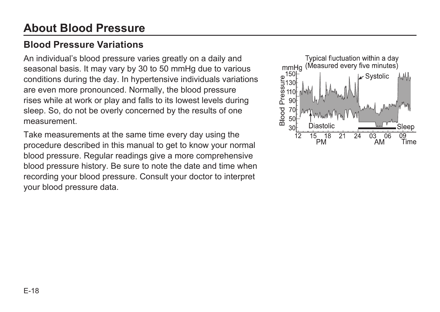# **About Blood Pressure**

### **Blood Pressure Variations**

An individual's blood pressure varies greatly on a daily and seasonal basis. It may vary by 30 to 50 mmHg due to various conditions during the day. In hypertensive individuals variations are even more pronounced. Normally, the blood pressure rises while at work or play and falls to its lowest levels during sleep. So, do not be overly concerned by the results of one measurement.

Take measurements at the same time every day using the procedure described in this manual to get to know your normal blood pressure. Regular readings give a more comprehensive blood pressure history. Be sure to note the date and time when recording your blood pressure. Consult your doctor to interpret your blood pressure data.

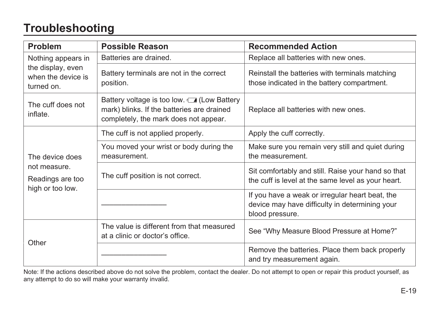# **Troubleshooting**

| Problem                                                                 | <b>Possible Reason</b>                                                                                                                   | <b>Recommended Action</b>                                                                                            |  |
|-------------------------------------------------------------------------|------------------------------------------------------------------------------------------------------------------------------------------|----------------------------------------------------------------------------------------------------------------------|--|
| Nothing appears in                                                      | Batteries are drained.                                                                                                                   | Replace all batteries with new ones.                                                                                 |  |
| the display, even<br>when the device is<br>turned on.                   | Battery terminals are not in the correct<br>position.                                                                                    | Reinstall the batteries with terminals matching<br>those indicated in the battery compartment.                       |  |
| The cuff does not<br>inflate.                                           | Battery voltage is too low. <b>4</b> (Low Battery<br>mark) blinks. If the batteries are drained<br>completely, the mark does not appear. | Replace all batteries with new ones.                                                                                 |  |
|                                                                         | The cuff is not applied properly.                                                                                                        | Apply the cuff correctly.                                                                                            |  |
| The device does<br>not measure.<br>Readings are too<br>high or too low. | You moved your wrist or body during the<br>measurement.                                                                                  | Make sure you remain very still and quiet during<br>the measurement.                                                 |  |
|                                                                         | The cuff position is not correct.                                                                                                        | Sit comfortably and still. Raise your hand so that<br>the cuff is level at the same level as your heart.             |  |
|                                                                         |                                                                                                                                          | If you have a weak or irregular heart beat, the<br>device may have difficulty in determining your<br>blood pressure. |  |
| Other                                                                   | The value is different from that measured<br>at a clinic or doctor's office.                                                             | See "Why Measure Blood Pressure at Home?"                                                                            |  |
|                                                                         |                                                                                                                                          | Remove the batteries. Place them back properly<br>and try measurement again.                                         |  |

Note: If the actions described above do not solve the problem, contact the dealer. Do not attempt to open or repair this product yourself, as any attempt to do so will make your warranty invalid.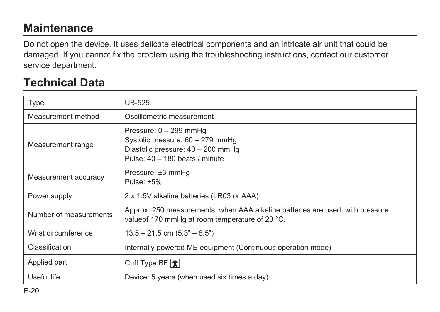# **Maintenance**

Do not open the device. It uses delicate electrical components and an intricate air unit that could be damaged. If you cannot fix the problem using the troubleshooting instructions, contact our customer service department.

### **Technical Data**

| Type                   | <b>UB-525</b>                                                                                                                     |
|------------------------|-----------------------------------------------------------------------------------------------------------------------------------|
| Measurement method     | Oscillometric measurement                                                                                                         |
| Measurement range      | Pressure: 0 - 299 mmHg<br>Systolic pressure: 60 - 279 mmHq<br>Diastolic pressure: 40 - 200 mmHq<br>Pulse: 40 - 180 beats / minute |
| Measurement accuracy   | Pressure: ±3 mmHg<br>Pulse: $±5\%$                                                                                                |
| Power supply           | 2 x 1.5V alkaline batteries (LR03 or AAA)                                                                                         |
| Number of measurements | Approx. 250 measurements, when AAA alkaline batteries are used, with pressure<br>value of 170 mmHq at room temperature of 23 °C.  |
| Wrist circumference    | $13.5 - 21.5$ cm $(5.3^{\circ} - 8.5^{\circ})$                                                                                    |
| Classification         | Internally powered ME equipment (Continuous operation mode)                                                                       |
| Applied part           | Cuff Type BF $ \hat{\mathbf{\pi}} $                                                                                               |
| Useful life            | Device: 5 years (when used six times a day)                                                                                       |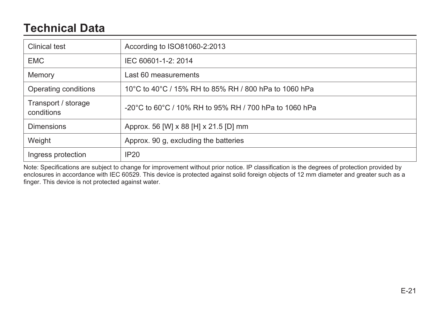## **Technical Data**

| Clinical test                     | According to ISO81060-2:2013                           |
|-----------------------------------|--------------------------------------------------------|
| <b>EMC</b>                        | IEC 60601-1-2: 2014                                    |
| Memory                            | Last 60 measurements                                   |
| Operating conditions              | 10°C to 40°C / 15% RH to 85% RH / 800 hPa to 1060 hPa  |
| Transport / storage<br>conditions | -20°C to 60°C / 10% RH to 95% RH / 700 hPa to 1060 hPa |
| Dimensions                        | Approx. 56 [W] x 88 [H] x 21.5 [D] mm                  |
| Weight                            | Approx. 90 q, excluding the batteries                  |
| Ingress protection                | IP20                                                   |

Note: Specifications are subject to change for improvement without prior notice. IP classification is the degrees of protection provided by enclosures in accordance with IEC 60529. This device is protected against solid foreign objects of 12 mm diameter and greater such as a finger. This device is not protected against water.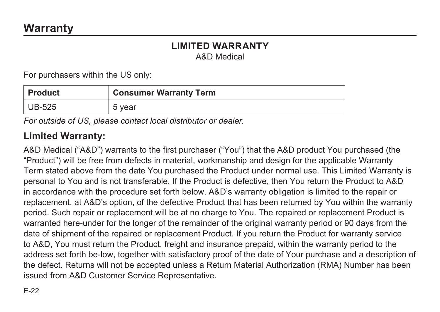# **LIMITED WARRANTY**

A&D Medical

For purchasers within the US only:

| ∣ Product | <b>Consumer Warranty Term</b> |
|-----------|-------------------------------|
| $ UB-525$ | 5 year                        |

*For outside of US, please contact local distributor or dealer.*

#### **Limited Warranty:**

A&D Medical ("A&D") warrants to the first purchaser ("You") that the A&D product You purchased (the "Product") will be free from defects in material, workmanship and design for the applicable Warranty Term stated above from the date You purchased the Product under normal use. This Limited Warranty is personal to You and is not transferable. If the Product is defective, then You return the Product to A&D in accordance with the procedure set forth below. A&D's warranty obligation is limited to the repair or replacement, at A&D's option, of the defective Product that has been returned by You within the warranty period. Such repair or replacement will be at no charge to You. The repaired or replacement Product is warranted here-under for the longer of the remainder of the original warranty period or 90 days from the date of shipment of the repaired or replacement Product. If you return the Product for warranty service to A&D, You must return the Product, freight and insurance prepaid, within the warranty period to the address set forth be-low, together with satisfactory proof of the date of Your purchase and a description of the defect. Returns will not be accepted unless a Return Material Authorization (RMA) Number has been issued from A&D Customer Service Representative.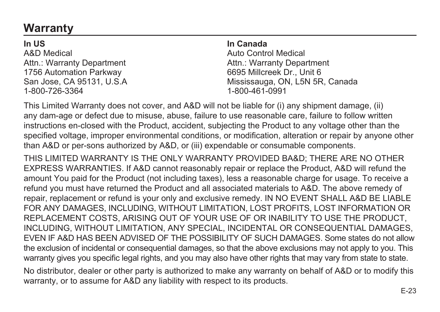# **Warranty**

**In US** A&D Medical Attn.: Warranty Department 1756 Automation Parkway San Jose, CA 95131, U.S.A 1-800-726-3364

#### **In Canada**

Auto Control Medical Attn.: Warranty Department 6695 Millcreek Dr., Unit 6 Mississauga, ON, L5N 5R, Canada 1-800-461-0991

This Limited Warranty does not cover, and A&D will not be liable for (i) any shipment damage, (ii) any dam-age or defect due to misuse, abuse, failure to use reasonable care, failure to follow written instructions en-closed with the Product, accident, subjecting the Product to any voltage other than the specified voltage, improper environmental conditions, or modification, alteration or repair by anyone other than A&D or per-sons authorized by A&D, or (iii) expendable or consumable components.

THIS LIMITED WARRANTY IS THE ONLY WARRANTY PROVIDED BA&D; THERE ARE NO OTHER EXPRESS WARRANTIES. If A&D cannot reasonably repair or replace the Product, A&D will refund the amount You paid for the Product (not including taxes), less a reasonable charge for usage. To receive a refund you must have returned the Product and all associated materials to A&D. The above remedy of repair, replacement or refund is your only and exclusive remedy. IN NO EVENT SHALL A&D BE LIABLE FOR ANY DAMAGES, INCLUDING, WITHOUT LIMITATION, LOST PROFITS, LOST INFORMATION OR REPLACEMENT COSTS, ARISING OUT OF YOUR USE OF OR INABILITY TO USE THE PRODUCT, INCLUDING, WITHOUT LIMITATION, ANY SPECIAL, INCIDENTAL OR CONSEQUENTIAL DAMAGES, EVEN IF A&D HAS BEEN ADVISED OF THE POSSIBILITY OF SUCH DAMAGES. Some states do not allow the exclusion of incidental or consequential damages, so that the above exclusions may not apply to you. This warranty gives you specific legal rights, and you may also have other rights that may vary from state to state.

No distributor, dealer or other party is authorized to make any warranty on behalf of A&D or to modify this warranty, or to assume for A&D any liability with respect to its products.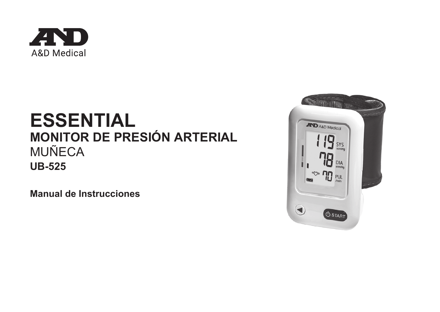

# **ESSENTIAL MONITOR DE PRESIÓN ARTERIAL** MUÑECA **UB-525**

**Manual de Instrucciones**

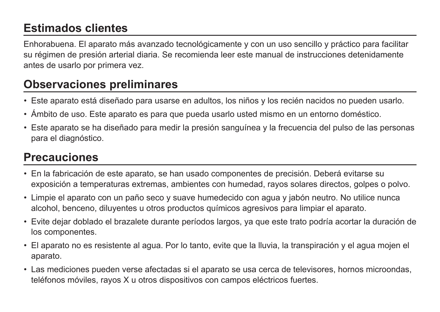# **Estimados clientes**

Enhorabuena. El aparato más avanzado tecnológicamente y con un uso sencillo y práctico para facilitar su régimen de presión arterial diaria. Se recomienda leer este manual de instrucciones detenidamente antes de usarlo por primera vez.

# **Observaciones preliminares**

- Este aparato está diseñado para usarse en adultos, los niños y los recién nacidos no pueden usarlo.
- Ámbito de uso. Este aparato es para que pueda usarlo usted mismo en un entorno doméstico.
- Este aparato se ha diseñado para medir la presión sanguínea y la frecuencia del pulso de las personas para el diagnóstico.

# **Precauciones**

- En la fabricación de este aparato, se han usado componentes de precisión. Deberá evitarse su exposición a temperaturas extremas, ambientes con humedad, rayos solares directos, golpes o polvo.
- Limpie el aparato con un paño seco y suave humedecido con agua y jabón neutro. No utilice nunca alcohol, benceno, diluyentes u otros productos químicos agresivos para limpiar el aparato.
- Evite dejar doblado el brazalete durante períodos largos, ya que este trato podría acortar la duración de los componentes.
- El aparato no es resistente al agua. Por lo tanto, evite que la lluvia, la transpiración y el agua mojen el aparato.
- Las mediciones pueden verse afectadas si el aparato se usa cerca de televisores, hornos microondas, teléfonos móviles, rayos X u otros dispositivos con campos eléctricos fuertes.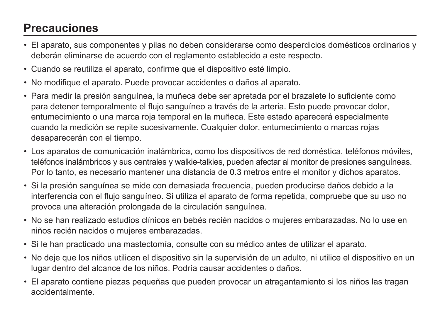# **Precauciones**

- El aparato, sus componentes y pilas no deben considerarse como desperdicios domésticos ordinarios y deberán eliminarse de acuerdo con el reglamento establecido a este respecto.
- Cuando se reutiliza el aparato, confirme que el dispositivo esté limpio.
- No modifique el aparato. Puede provocar accidentes o daños al aparato.
- Para medir la presión sanguínea, la muñeca debe ser apretada por el brazalete lo suficiente como para detener temporalmente el flujo sanguíneo a través de la arteria. Esto puede provocar dolor, entumecimiento o una marca roja temporal en la muñeca. Este estado aparecerá especialmente cuando la medición se repite sucesivamente. Cualquier dolor, entumecimiento o marcas rojas desaparecerán con el tiempo.
- Los aparatos de comunicación inalámbrica, como los dispositivos de red doméstica, teléfonos móviles, teléfonos inalámbricos y sus centrales y walkie-talkies, pueden afectar al monitor de presiones sanguíneas. Por lo tanto, es necesario mantener una distancia de 0.3 metros entre el monitor y dichos aparatos.
- Si la presión sanguínea se mide con demasiada frecuencia, pueden producirse daños debido a la interferencia con el flujo sanguíneo. Si utiliza el aparato de forma repetida, compruebe que su uso no provoca una alteración prolongada de la circulación sanguínea.
- No se han realizado estudios clínicos en bebés recién nacidos o mujeres embarazadas. No lo use en niños recién nacidos o mujeres embarazadas.
- Si le han practicado una mastectomía, consulte con su médico antes de utilizar el aparato.
- No deje que los niños utilicen el dispositivo sin la supervisión de un adulto, ni utilice el dispositivo en un lugar dentro del alcance de los niños. Podría causar accidentes o daños.
- El aparato contiene piezas pequeñas que pueden provocar un atragantamiento si los niños las tragan accidentalmente.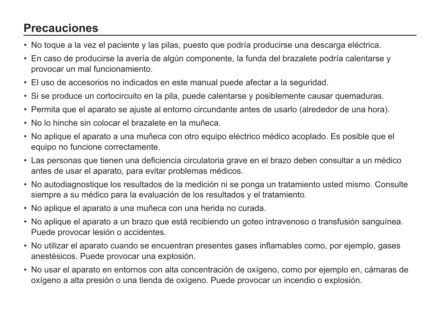# **Precauciones**

- No toque a la vez el paciente y las pilas, puesto que podría producirse una descarga eléctrica.
- En caso de producirse la avería de algún componente, la funda del brazalete podría calentarse y provocar un mal funcionamiento.
- El uso de accesorios no indicados en este manual puede afectar a la seguridad.
- Si se produce un cortocircuito en la pila, puede calentarse y posiblemente causar quemaduras.
- Permita que el aparato se ajuste al entorno circundante antes de usarlo (alrededor de una hora).
- No lo hinche sin colocar el brazalete en la muñeca.
- No aplique el aparato a una muñeca con otro equipo eléctrico médico acoplado. Es posible que el equipo no funcione correctamente.
- Las personas que tienen una deficiencia circulatoria grave en el brazo deben consultar a un médico antes de usar el aparato, para evitar problemas médicos.
- No autodiagnostique los resultados de la medición ni se ponga un tratamiento usted mismo. Consulte siempre a su médico para la evaluación de los resultados y el tratamiento.
- No aplique el aparato a una muñeca con una herida no curada.
- No aplique el aparato a un brazo que está recibiendo un goteo intravenoso o transfusión sanguínea. Puede provocar lesión o accidentes.
- No utilizar el aparato cuando se encuentran presentes gases inflamables como, por ejemplo, gases anestésicos. Puede provocar una explosión.
- No usar el aparato en entornos con alta concentración de oxígeno, como por ejemplo en, cámaras de oxígeno a alta presión o una tienda de oxígeno. Puede provocar un incendio o explosión.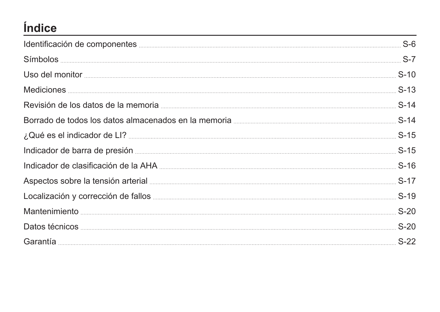# **Índice**

| Mediciones <b>Executive Section</b> S-13 |        |
|------------------------------------------|--------|
|                                          |        |
|                                          |        |
|                                          |        |
|                                          |        |
|                                          |        |
|                                          |        |
|                                          |        |
|                                          | $S-20$ |
|                                          |        |
|                                          |        |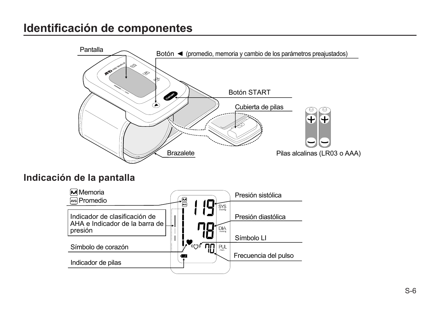### **Identificación de componentes**



#### **Indicación de la pantalla**

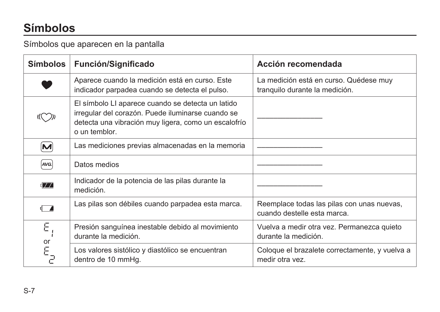# **Símbolos**

Símbolos que aparecen en la pantalla

| <b>Símbolos</b>                      | Función/Significado                                                                                                                                                             | Acción recomendada                                                        |
|--------------------------------------|---------------------------------------------------------------------------------------------------------------------------------------------------------------------------------|---------------------------------------------------------------------------|
|                                      | Aparece cuando la medición está en curso. Este<br>indicador parpadea cuando se detecta el pulso.                                                                                | La medición está en curso. Quédese muy<br>tranquilo durante la medición.  |
|                                      | El símbolo LI aparece cuando se detecta un latido<br>irregular del corazón. Puede iluminarse cuando se<br>detecta una vibración muy ligera, como un escalofrío<br>o un temblor. |                                                                           |
| $\left[\mathsf{M}\right]$            | Las mediciones previas almacenadas en la memoria                                                                                                                                |                                                                           |
| AVG.                                 | Datos medios                                                                                                                                                                    |                                                                           |
| $\mathbf{d} \mathcal{F} \mathcal{F}$ | Indicador de la potencia de las pilas durante la<br>medición.                                                                                                                   |                                                                           |
| ொ                                    | Las pilas son débiles cuando parpadea esta marca.                                                                                                                               | Reemplace todas las pilas con unas nuevas,<br>cuando destelle esta marca. |
| Ε                                    | Presión sanguínea inestable debido al movimiento<br>durante la medición.                                                                                                        | Vuelva a medir otra vez. Permanezca quieto<br>durante la medición.        |
| or<br>$E_{\overline{C}}$             | Los valores sistólico y diastólico se encuentran<br>dentro de 10 mmHg.                                                                                                          | Coloque el brazalete correctamente, y vuelva a<br>medir otra yez.         |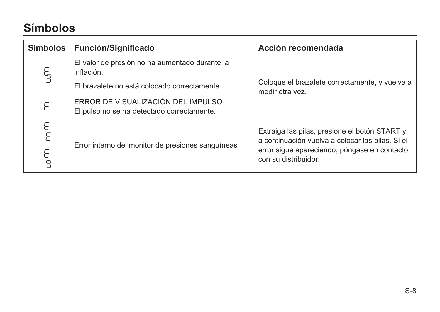# **Símbolos**

| <b>Símbolos</b> | Función/Significado                                                              | Acción recomendada                                                                                |  |
|-----------------|----------------------------------------------------------------------------------|---------------------------------------------------------------------------------------------------|--|
| 5               | El valor de presión no ha aumentado durante la<br>inflación.                     | Coloque el brazalete correctamente, y vuelva a<br>medir otra yez.                                 |  |
|                 | El brazalete no está colocado correctamente.                                     |                                                                                                   |  |
| Ε               | ERROR DE VISUALIZACIÓN DEL IMPULSO<br>El pulso no se ha detectado correctamente. |                                                                                                   |  |
| E<br>E          |                                                                                  | Extraiga las pilas, presione el botón START y<br>a continuación vuelva a colocar las pilas. Si el |  |
| E<br>9          | Error interno del monitor de presiones sanguíneas                                | error sigue apareciendo, póngase en contacto<br>con su distribuidor.                              |  |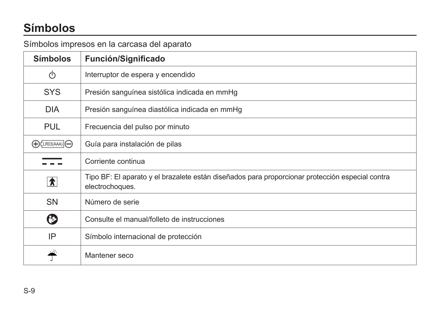# **Símbolos**

#### Símbolos impresos en la carcasa del aparato

| <b>Símbolos</b>                    | Función/Significado                                                                                                |
|------------------------------------|--------------------------------------------------------------------------------------------------------------------|
| (ካ                                 | Interruptor de espera y encendido                                                                                  |
| <b>SYS</b>                         | Presión sanguínea sistólica indicada en mmHg                                                                       |
| <b>DIA</b>                         | Presión sanguínea diastólica indicada en mmHg                                                                      |
| <b>PUL</b>                         | Frecuencia del pulso por minuto                                                                                    |
| $\bigoplus$ CLR03(AAA) $\bigoplus$ | Guía para instalación de pilas                                                                                     |
|                                    | Corriente continua                                                                                                 |
| $\hat{\mathbf{x}}$                 | Tipo BF: El aparato y el brazalete están diseñados para proporcionar protección especial contra<br>electrochoques. |
| <b>SN</b>                          | Número de serie                                                                                                    |
| (?)                                | Consulte el manual/folleto de instrucciones                                                                        |
| IP                                 | Símbolo internacional de protección                                                                                |
|                                    | Mantener seco                                                                                                      |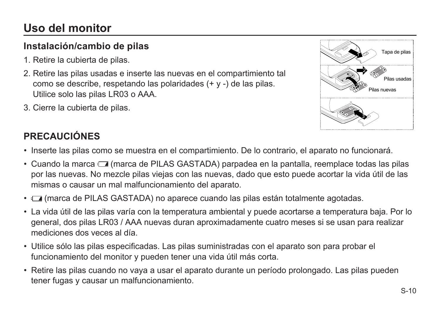# **Uso del monitor**

### **Instalación/cambio de pilas**

- 1. Retire la cubierta de pilas.
- 2. Retire las pilas usadas e inserte las nuevas en el compartimiento tal como se describe, respetando las polaridades (+ y -) de las pilas. Utilice solo las pilas LR03 o AAA.
- 3. Cierre la cubierta de pilas.



### **PRECAUCIÓNES**

- Inserte las pilas como se muestra en el compartimiento. De lo contrario, el aparato no funcionará.
- Cuando la marca (marca de PILAS GASTADA) parpadea en la pantalla, reemplace todas las pilas por las nuevas. No mezcle pilas viejas con las nuevas, dado que esto puede acortar la vida útil de las mismas o causar un mal malfuncionamiento del aparato.
- (marca de PILAS GASTADA) no aparece cuando las pilas están totalmente agotadas.
- La vida útil de las pilas varía con la temperatura ambiental y puede acortarse a temperatura baja. Por lo general, dos pilas LR03 / AAA nuevas duran aproximadamente cuatro meses si se usan para realizar mediciones dos veces al día.
- Utilice sólo las pilas especificadas. Las pilas suministradas con el aparato son para probar el funcionamiento del monitor y pueden tener una vida útil más corta.
- Retire las pilas cuando no vaya a usar el aparato durante un período prolongado. Las pilas pueden tener fugas y causar un malfuncionamiento.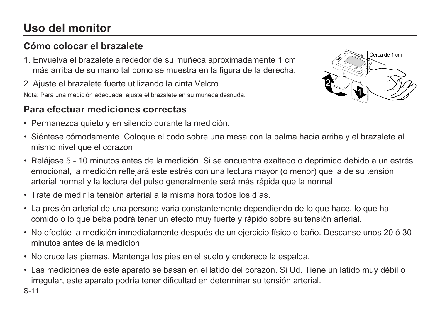# **Uso del monitor**

### **Cómo colocar el brazalete**

1. Envuelva el brazalete alrededor de su muñeca aproximadamente 1 cm más arriba de su mano tal como se muestra en la figura de la derecha.

2. Ajuste el brazalete fuerte utilizando la cinta Velcro.

Nota: Para una medición adecuada, ajuste el brazalete en su muñeca desnuda.

### **Para efectuar mediciones correctas**

• Permanezca quieto y en silencio durante la medición.



- Siéntese cómodamente. Coloque el codo sobre una mesa con la palma hacia arriba y el brazalete al mismo nivel que el corazón
- Relájese 5 10 minutos antes de la medición. Si se encuentra exaltado o deprimido debido a un estrés emocional, la medición reflejará este estrés con una lectura mayor (o menor) que la de su tensión arterial normal y la lectura del pulso generalmente será más rápida que la normal.
- Trate de medir la tensión arterial a la misma hora todos los días.
- La presión arterial de una persona varia constantemente dependiendo de lo que hace, lo que ha comido o lo que beba podrá tener un efecto muy fuerte y rápido sobre su tensión arterial.
- No efectúe la medición inmediatamente después de un ejercicio físico o baño. Descanse unos 20 ó 30 minutos antes de la medición.
- No cruce las piernas. Mantenga los pies en el suelo y enderece la espalda.
- Las mediciones de este aparato se basan en el latido del corazón. Si Ud. Tiene un latido muy débil o irregular, este aparato podría tener dificultad en determinar su tensión arterial.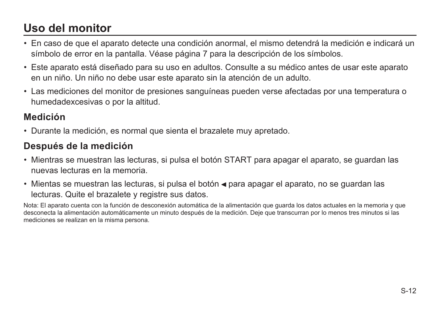# **Uso del monitor**

- En caso de que el aparato detecte una condición anormal, el mismo detendrá la medición e indicará un símbolo de error en la pantalla. Véase página 7 para la descripción de los símbolos.
- Este aparato está diseñado para su uso en adultos. Consulte a su médico antes de usar este aparato en un niño. Un niño no debe usar este aparato sin la atención de un adulto.
- Las mediciones del monitor de presiones sanguíneas pueden verse afectadas por una temperatura o humedadexcesivas o por la altitud.

### **Medición**

• Durante la medición, es normal que sienta el brazalete muy apretado.

### **Después de la medición**

- Mientras se muestran las lecturas, si pulsa el botón START para apagar el aparato, se guardan las nuevas lecturas en la memoria.
- Mientas se muestran las lecturas, si pulsa el botón  $\triangleleft$  para apagar el aparato, no se guardan las lecturas. Quite el brazalete y registre sus datos.

Nota: El aparato cuenta con la función de desconexión automática de la alimentación que guarda los datos actuales en la memoria y que desconecta la alimentación automáticamente un minuto después de la medición. Deje que transcurran por lo menos tres minutos si las mediciones se realizan en la misma persona.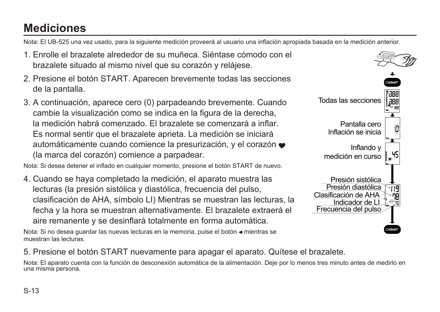# **Mediciones**

Nota: El UB-525 una vez usado, para la siguiente medición proveerá al usuario una inflación apropiada basada en la medición anterior.

- 1. Enrolle el brazalete alrededor de su muñeca. Siéntase cómodo con el brazalete situado al mismo nivel que su corazón y relájese.
- 2. Presione el botón START. Aparecen brevemente todas las secciones de la pantalla.
- 3. A continuación, aparece cero (0) parpadeando brevemente. Cuando cambie la visualización como se indica en la figura de la derecha, la medición habrá comenzado. El brazalete se comenzará a inflar. Es normal sentir que el brazalete aprieta. La medición se iniciará automáticamente cuando comience la presurización, y el corazón (la marca del corazón) comience a parpadear.

Nota: Si desea detener el inflado en cualquier momento, presione el botón START de nuevo.

4. Cuando se haya completado la medición, el aparato muestra las lecturas (la presión sistólica y diastólica, frecuencia del pulso, clasificación de AHA, símbolo LI) Mientras se muestran las lecturas, la fecha y la hora se muestran alternativamente. El brazalete extraerá el aire remanente y se desinflará totalmente en forma automática.

Nota: Si no desea guardar las nuevas lecturas en la memoria, pulse el botón « mientras se muestran las lecturas.



5. Presione el botón START nuevamente para apagar el aparato. Quítese el brazalete.

Nota: El aparato cuenta con la función de desconexión automática de la alimentación. Deje por lo menos tres minuto antes de medirlo en una misma persona.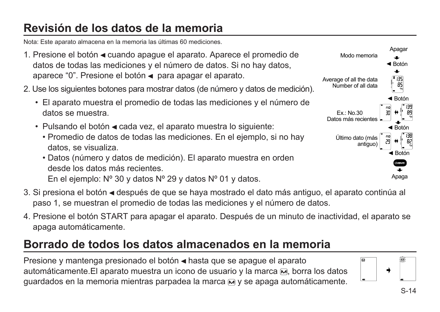# **Revisión de los datos de la memoria**

Nota: Este aparato almacena en la memoria las últimas 60 mediciones.

- 1. Presione el botón < cuando apague el aparato. Aparece el promedio de datos de todas las mediciones y el número de datos. Si no hay datos, aparece "0". Presione el botón < para apagar el aparato.
- 2. Use los siguientes botones para mostrar datos (de número y datos de medición).
	- El aparato muestra el promedio de todas las mediciones y el número de datos se muestra.
	- Pulsando el botón < cada vez, el aparato muestra lo siguiente:
		- Promedio de datos de todas las mediciones. En el ejemplo, si no hay datos, se visualiza.
		- Datos (número y datos de medición). El aparato muestra en orden desde los datos más recientes. En el ejemplo: Nº 30 y datos Nº 29 y datos Nº 01 y datos.
- 3. Si presiona el botón ◄ después de que se haya mostrado el dato más antiguo, el aparato continúa al paso 1, se muestran el promedio de todas las mediciones y el número de datos.
- 4. Presione el botón START para apagar el aparato. Después de un minuto de inactividad, el aparato se apaga automáticamente.

### **Borrado de todos los datos almacenados en la memoria**

Presione y mantenga presionado el botón « hasta que se apague el aparato automáticamente. El aparato muestra un icono de usuario y la marca  $\overline{M}$ , borra los datos guardados en la memoria mientras parpadea la marca  $\overline{M}$  v se apaga automáticamente.



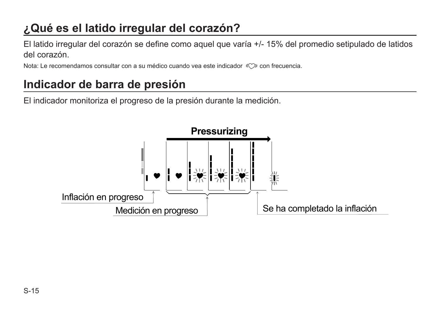# **¿Qué es el latido irregular del corazón?**

El latido irregular del corazón se define como aquel que varía +/- 15% del promedio setipulado de latidos del corazón.

Nota: Le recomendamos consultar con a su médico cuando vea este indicador « $\heartsuit$ » con frecuencia.

# **Indicador de barra de presión**

El indicador monitoriza el progreso de la presión durante la medición.

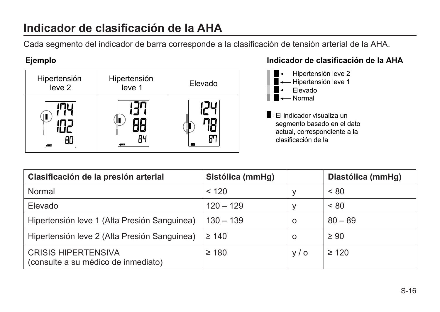# **Indicador de clasificación de la AHA**

Cada segmento del indicador de barra corresponde a la clasificación de tensión arterial de la AHA.



#### **Ejemplo Indicador de clasificación de la AHA**



| Clasificación de la presión arterial                              | Sistólica (mmHg) |          | Diastólica (mmHg) |
|-------------------------------------------------------------------|------------------|----------|-------------------|
| Normal                                                            | < 120            | v        | < 80              |
| Elevado                                                           | $120 - 129$      | v        | < 80              |
| Hipertensión leve 1 (Alta Presión Sanguinea)                      | $130 - 139$      | $\Omega$ | $80 - 89$         |
| Hipertensión leve 2 (Alta Presión Sanguinea)                      | $\geq 140$       | $\Omega$ | $\geq 90$         |
| <b>CRISIS HIPERTENSIVA</b><br>(consulte a su médico de inmediato) | $\geq 180$       | V/O      | $\geq 120$        |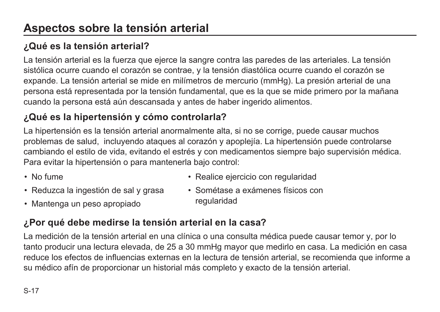### **¿Qué es la tensión arterial?**

La tensión arterial es la fuerza que ejerce la sangre contra las paredes de las arteriales. La tensión sistólica ocurre cuando el corazón se contrae, y la tensión diastólica ocurre cuando el corazón se expande. La tensión arterial se mide en milímetros de mercurio (mmHg). La presión arterial de una persona está representada por la tensión fundamental, que es la que se mide primero por la mañana cuando la persona está aún descansada y antes de haber ingerido alimentos.

### **¿Qué es la hipertensión y cómo controlarla?**

La hipertensión es la tensión arterial anormalmente alta, si no se corrige, puede causar muchos problemas de salud, incluyendo ataques al corazón y apoplejía. La hipertensión puede controlarse cambiando el estilo de vida, evitando el estrés y con medicamentos siempre bajo supervisión médica. Para evitar la hipertensión o para mantenerla bajo control:

- No fume
- Reduzca la ingestión de sal y grasa
- Realice ejercicio con regularidad
- Sométase a exámenes físicos con regularidad

• Mantenga un peso apropiado

### **¿Por qué debe medirse la tensión arterial en la casa?**

La medición de la tensión arterial en una clínica o una consulta médica puede causar temor y, por lo tanto producir una lectura elevada, de 25 a 30 mmHg mayor que medirlo en casa. La medición en casa reduce los efectos de influencias externas en la lectura de tensión arterial, se recomienda que informe a su médico afín de proporcionar un historial más completo y exacto de la tensión arterial.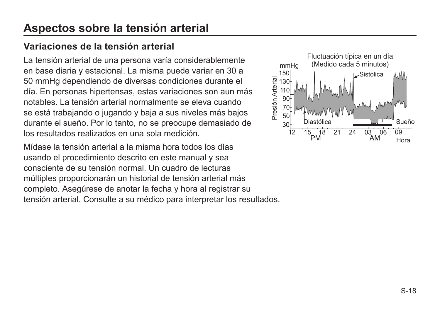# **Aspectos sobre la tensión arterial**

#### **Variaciones de la tensión arterial**

La tensión arterial de una persona varía considerablemente en base diaria y estacional. La misma puede variar en 30 a 50 mmHg dependiendo de diversas condiciones durante el día. En personas hipertensas, estas variaciones son aun más notables. La tensión arterial normalmente se eleva cuando se está trabajando o jugando y baja a sus niveles más bajos durante el sueño. Por lo tanto, no se preocupe demasiado de los resultados realizados en una sola medición.

Mídase la tensión arterial a la misma hora todos los días usando el procedimiento descrito en este manual y sea consciente de su tensión normal. Un cuadro de lecturas múltiples proporcionarán un historial de tensión arterial más completo. Asegúrese de anotar la fecha y hora al registrar su tensión arterial. Consulte a su médico para interpretar los resultados.

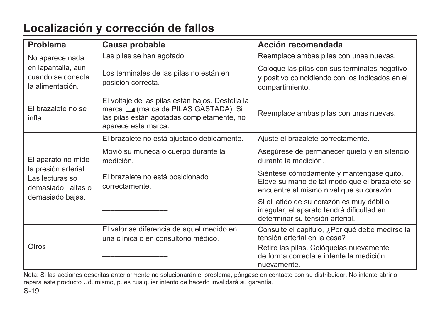# **Localización y corrección de fallos**

| Problema                                                                                                                                                                                      | Causa probable                                                                    | Acción recomendada                                                                                                                    |
|-----------------------------------------------------------------------------------------------------------------------------------------------------------------------------------------------|-----------------------------------------------------------------------------------|---------------------------------------------------------------------------------------------------------------------------------------|
| No aparece nada                                                                                                                                                                               | Las pilas se han agotado.                                                         | Reemplace ambas pilas con unas nuevas.                                                                                                |
| en lapantalla, aun<br>cuando se conecta<br>la alimentación.                                                                                                                                   | Los terminales de las pilas no están en<br>posición correcta.                     | Coloque las pilas con sus terminales negativo<br>y positivo coincidiendo con los indicados en el<br>compartimiento.                   |
| El voltaje de las pilas están bajos. Destella la<br>El brazalete no se<br>marca a (marca de PILAS GASTADA). Si<br>las pilas están agotadas completamente, no<br>infla.<br>aparece esta marca. |                                                                                   | Reemplace ambas pilas con unas nuevas.                                                                                                |
|                                                                                                                                                                                               | El brazalete no está ajustado debidamente.                                        | Ajuste el brazalete correctamente.                                                                                                    |
| El aparato no mide                                                                                                                                                                            | Movió su muñeca o cuerpo durante la<br>medición.                                  | Asegúrese de permanecer quieto y en silencio<br>durante la medición.                                                                  |
| la presión arterial.<br>Las lecturas so<br>demasiado altas o                                                                                                                                  | El brazalete no está posicionado<br>correctamente.                                | Siéntese cómodamente y manténgase quito.<br>Eleve su mano de tal modo que el brazalete se<br>encuentre al mismo nivel que su corazón. |
| demasiado bajas.                                                                                                                                                                              |                                                                                   | Si el latido de su corazón es muy débil o<br>irregular, el aparato tendrá dificultad en<br>determinar su tensión arterial.            |
|                                                                                                                                                                                               | El valor se diferencia de aquel medido en<br>una clínica o en consultorio médico. | Consulte el capitulo, ¿Por qué debe medirse la<br>tensión arterial en la casa?                                                        |
| Otros                                                                                                                                                                                         |                                                                                   | Retire las pilas. Cológuelas nuevamente<br>de forma correcta e intente la medición<br>nuevamente.                                     |

Nota: Si las acciones descritas anteriormente no solucionarán el problema, póngase en contacto con su distribuidor. No intente abrir o repara este producto Ud. mismo, pues cualquier intento de hacerlo invalidará su garantía.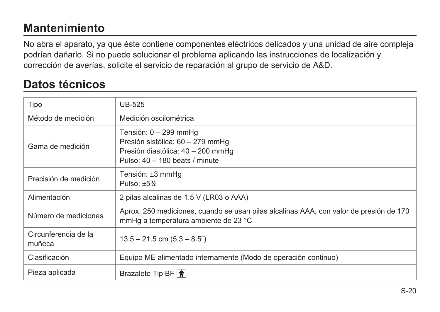# **Mantenimiento**

No abra el aparato, ya que éste contiene componentes eléctricos delicados y una unidad de aire compleja podrían dañarlo. Si no puede solucionar el problema aplicando las instrucciones de localización y corrección de averías, solicite el servicio de reparación al grupo de servicio de A&D.

### **Datos técnicos**

| Tipo                           | <b>UB-525</b>                                                                                                                    |
|--------------------------------|----------------------------------------------------------------------------------------------------------------------------------|
| Método de medición             | Medición oscilométrica                                                                                                           |
| Gama de medición               | Tensión: 0 – 299 mmHq<br>Presión sistólica: 60 - 279 mmHq<br>Presión diastólica: 40 - 200 mmHg<br>Pulso: 40 - 180 beats / minute |
| Precisión de medición          | Tensión: ±3 mmHq<br>Pulso: $±5\%$                                                                                                |
| Alimentación                   | 2 pilas alcalinas de 1.5 V (LR03 o AAA)                                                                                          |
| Número de mediciones           | Aprox. 250 mediciones, cuando se usan pilas alcalinas AAA, con valor de presión de 170<br>mmHq a temperatura ambiente de 23 °C   |
| Circunferencia de la<br>muñeca | $13.5 - 21.5$ cm $(5.3 - 8.5)$                                                                                                   |
| Clasificación                  | Equipo ME alimentado internamente (Modo de operación continuo)                                                                   |
| Pieza aplicada                 | Brazalete Tip BF $ \hat{\textbf{x}} $                                                                                            |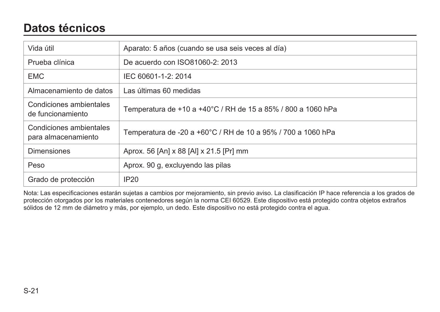### **Datos técnicos**

| Vida útil                                      | Aparato: 5 años (cuando se usa seis veces al día)            |
|------------------------------------------------|--------------------------------------------------------------|
| Prueba clínica                                 | De acuerdo con ISO81060-2: 2013                              |
| <b>EMC</b>                                     | IEC 60601-1-2: 2014                                          |
| Almacenamiento de datos                        | Las últimas 60 medidas                                       |
| Condiciones ambientales<br>de funcionamiento   | Temperatura de +10 a +40°C / RH de 15 a 85% / 800 a 1060 hPa |
| Condiciones ambientales<br>para almacenamiento | Temperatura de -20 a +60°C / RH de 10 a 95% / 700 a 1060 hPa |
| <b>Dimensiones</b>                             | Aprox. 56 [An] x 88 [Al] x 21.5 [Pr] mm                      |
| Peso                                           | Aprox. 90 g, excluyendo las pilas                            |
| Grado de protección                            | IP20                                                         |

Nota: Las especificaciones estarán sujetas a cambios por mejoramiento, sin previo aviso. La clasificación IP hace referencia a los grados de protección otorgados por los materiales contenedores según la norma CEI 60529. Este dispositivo está protegido contra objetos extraños sólidos de 12 mm de diámetro y más, por ejemplo, un dedo. Este dispositivo no está protegido contra el agua.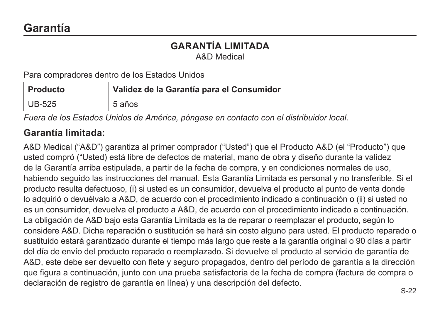#### **GARANTÍA LIMITADA** A&D Medical

Para compradores dentro de los Estados Unidos

| Producto | Validez de la Garantía para el Consumidor |
|----------|-------------------------------------------|
| UB-525   | 5 años                                    |

*Fuera de los Estados Unidos de América, póngase en contacto con el distribuidor local.* 

#### **Garantía limitada:**

A&D Medical ("A&D") garantiza al primer comprador ("Usted") que el Producto A&D (el "Producto") que usted compró ("Usted) está libre de defectos de material, mano de obra y diseño durante la validez de la Garantía arriba estipulada, a partir de la fecha de compra, y en condiciones normales de uso, habiendo seguido las instrucciones del manual. Esta Garantía Limitada es personal y no transferible. Si el producto resulta defectuoso, (i) si usted es un consumidor, devuelva el producto al punto de venta donde lo adquirió o devuélvalo a A&D, de acuerdo con el procedimiento indicado a continuación o (ii) si usted no es un consumidor, devuelva el producto a A&D, de acuerdo con el procedimiento indicado a continuación. La obligación de A&D bajo esta Garantía Limitada es la de reparar o reemplazar el producto, según lo considere A&D. Dicha reparación o sustitución se hará sin costo alguno para usted. El producto reparado o sustituido estará garantizado durante el tiempo más largo que reste a la garantía original o 90 días a partir del día de envío del producto reparado o reemplazado. Si devuelve el producto al servicio de garantía de A&D, este debe ser devuelto con flete y seguro propagados, dentro del período de garantía a la dirección que figura a continuación, junto con una prueba satisfactoria de la fecha de compra (factura de compra o declaración de registro de garantía en línea) y una descripción del defecto.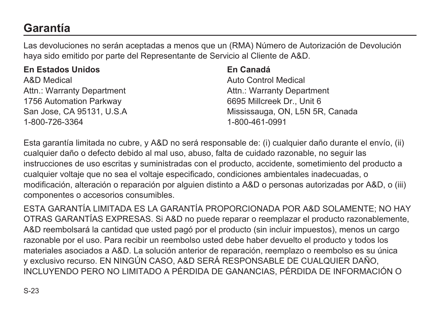# **Garantía**

Las devoluciones no serán aceptadas a menos que un (RMA) Número de Autorización de Devolución haya sido emitido por parte del Representante de Servicio al Cliente de A&D.

| <b>En Estados Unidos</b> |  |
|--------------------------|--|
|--------------------------|--|

A&D Medical Attn.: Warranty Department 1756 Automation Parkway San Jose, CA 95131, U.S.A 1-800-726-3364

#### **En Canadá**

Auto Control Medical Attn.: Warranty Department 6695 Millcreek Dr., Unit 6 Mississauga, ON, L5N 5R, Canada 1-800-461-0991

Esta garantía limitada no cubre, y A&D no será responsable de: (i) cualquier daño durante el envío, (ii) cualquier daño o defecto debido al mal uso, abuso, falta de cuidado razonable, no seguir las instrucciones de uso escritas y suministradas con el producto, accidente, sometimiento del producto a cualquier voltaje que no sea el voltaje especificado, condiciones ambientales inadecuadas, o modificación, alteración o reparación por alguien distinto a A&D o personas autorizadas por A&D, o (iii) componentes o accesorios consumibles.

ESTA GARANTÍA LIMITADA ES LA GARANTÍA PROPORCIONADA POR A&D SOLAMENTE; NO HAY OTRAS GARANTÍAS EXPRESAS. Si A&D no puede reparar o reemplazar el producto razonablemente, A&D reembolsará la cantidad que usted pagó por el producto (sin incluir impuestos), menos un cargo razonable por el uso. Para recibir un reembolso usted debe haber devuelto el producto y todos los materiales asociados a A&D. La solución anterior de reparación, reemplazo o reembolso es su única y exclusivo recurso. EN NINGÚN CASO, A&D SERÁ RESPONSABLE DE CUALQUIER DAÑO, INCLUYENDO PERO NO LIMITADO A PÉRDIDA DE GANANCIAS, PÉRDIDA DE INFORMACIÓN O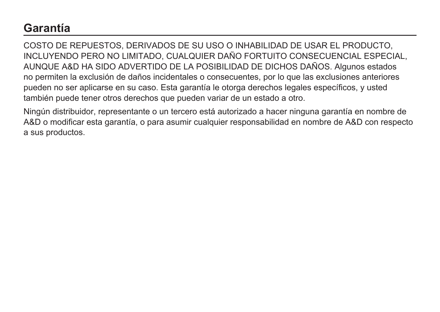### **Garantía**

COSTO DE REPUESTOS, DERIVADOS DE SU USO O INHABILIDAD DE USAR EL PRODUCTO, INCLUYENDO PERO NO LIMITADO, CUALQUIER DAÑO FORTUITO CONSECUENCIAL ESPECIAL, AUNQUE A&D HA SIDO ADVERTIDO DE LA POSIBILIDAD DE DICHOS DAÑOS. Algunos estados no permiten la exclusión de daños incidentales o consecuentes, por lo que las exclusiones anteriores pueden no ser aplicarse en su caso. Esta garantía le otorga derechos legales específicos, y usted también puede tener otros derechos que pueden variar de un estado a otro.

Ningún distribuidor, representante o un tercero está autorizado a hacer ninguna garantía en nombre de A&D o modificar esta garantía, o para asumir cualquier responsabilidad en nombre de A&D con respecto a sus productos.